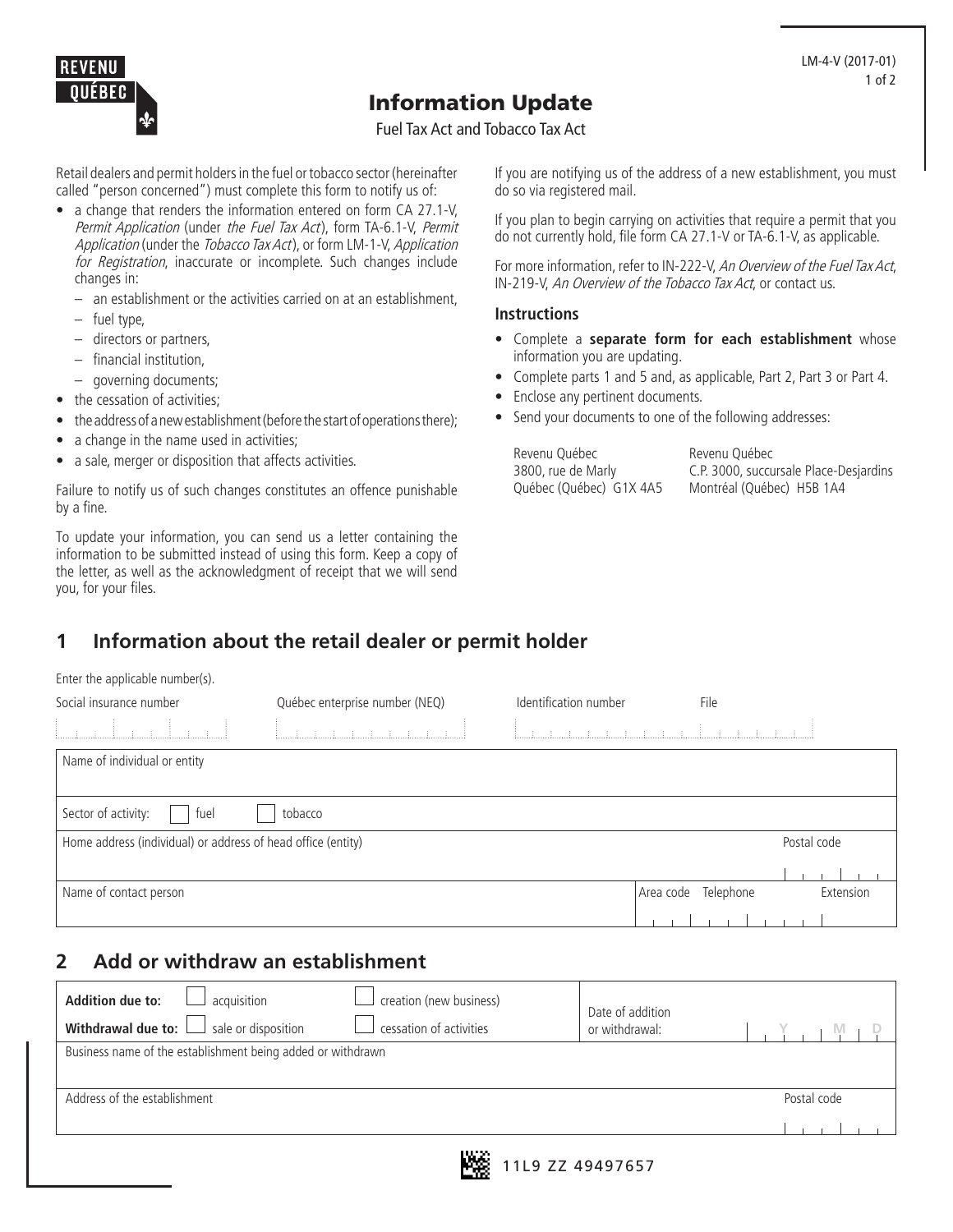

# Information Update

Fuel Tax Act and Tobacco Tax Act

Retail dealers and permit holders in the fuel or tobacco sector (hereinafter called "person concerned") must complete this form to notify us of:

- a change that renders the information entered on form CA 27.1-V, Permit Application (under the Fuel Tax Act), form TA-6.1-V, Permit Application (under the Tobacco Tax Act), or form LM-1-V, Application for Registration, inaccurate or incomplete. Such changes include changes in:
	- an establishment or the activities carried on at an establishment,
	- fuel type,
	- directors or partners,
	- financial institution,
	- governing documents;
- the cessation of activities;
- the address of a new establishment (before the start of operations there);
- a change in the name used in activities;
- a sale, merger or disposition that affects activities.

Failure to notify us of such changes constitutes an offence punishable by a fine.

To update your information, you can send us a letter containing the information to be submitted instead of using this form. Keep a copy of the letter, as well as the acknowledgment of receipt that we will send you, for your files.

If you are notifying us of the address of a new establishment, you must do so via registered mail.

If you plan to begin carrying on activities that require a permit that you do not currently hold, file form CA 27.1-V or TA-6.1-V, as applicable.

For more information, refer to IN-222-V, An Overview of the Fuel Tax Act, IN-219-V, An Overview of the Tobacco Tax Act, or contact us.

#### **Instructions**

- Complete a **separate form for each establishment** whose information you are updating.
- Complete parts 1 and 5 and, as applicable, Part 2, Part 3 or Part 4.
- Enclose any pertinent documents.
- Send your documents to one of the following addresses:

Revenu Québec 3800, rue de Marly Québec (Québec) G1X 4A5 Revenu Québec C.P. 3000, succursale Place-Desjardins Montréal (Québec) H5B 1A4

#### **1 Information about the retail dealer or permit holder**

|  |  | Enter the applicable number(s). |
|--|--|---------------------------------|
|--|--|---------------------------------|

| Social insurance number                                      | Québec enterprise number (NEQ) | Identification number                                                                                                                           |           | File      |             |
|--------------------------------------------------------------|--------------------------------|-------------------------------------------------------------------------------------------------------------------------------------------------|-----------|-----------|-------------|
| ŧ.                                                           |                                | $\label{eq:3.1} \begin{array}{cccccccccc} \mathbf{r} & \mathbf{r} & \mathbf{r} & \mathbf{r} & \mathbf{r} & \mathbf{r} & \mathbf{r} \end{array}$ | $\pm$     |           |             |
| Name of individual or entity                                 |                                |                                                                                                                                                 |           |           |             |
|                                                              |                                |                                                                                                                                                 |           |           |             |
| Sector of activity:<br>fuel                                  | tobacco                        |                                                                                                                                                 |           |           |             |
| Home address (individual) or address of head office (entity) |                                |                                                                                                                                                 |           |           | Postal code |
|                                                              |                                |                                                                                                                                                 |           |           |             |
| Name of contact person                                       |                                |                                                                                                                                                 | Area code | Telephone | Extension   |
|                                                              |                                |                                                                                                                                                 |           |           |             |

#### **2 Add or withdraw an establishment**

| <b>Addition due to:</b><br>acquisition<br>$\Box$ sale or disposition<br>Withdrawal due to: $\Box$ | creation (new business)<br>cessation of activities | Date of addition<br>or withdrawal: |             |  |  |
|---------------------------------------------------------------------------------------------------|----------------------------------------------------|------------------------------------|-------------|--|--|
| Business name of the establishment being added or withdrawn                                       |                                                    |                                    |             |  |  |
| Address of the establishment                                                                      |                                                    |                                    | Postal code |  |  |
| 19. Y.                                                                                            |                                                    |                                    |             |  |  |